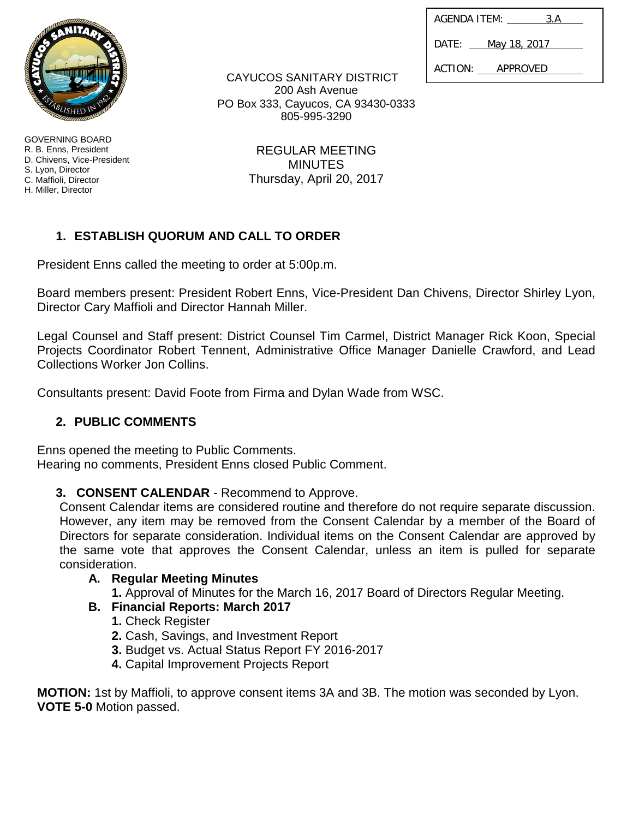| AGENDA ITEM: |  | 3.A          |
|--------------|--|--------------|
| DATF:        |  | May 18, 2017 |
| ACTION:      |  | APPROVED     |

GOVERNING BOARD R. B. Enns, President D. Chivens, Vice-President S. Lyon, Director C. Maffioli, Director H. Miller, Director

CAYUCOS SANITARY DISTRICT 200 Ash Avenue PO Box 333, Cayucos, CA 93430-0333 805-995-3290

> REGULAR MEETING **MINUTES** Thursday, April 20, 2017

# **1. ESTABLISH QUORUM AND CALL TO ORDER**

President Enns called the meeting to order at 5:00p.m.

Board members present: President Robert Enns, Vice-President Dan Chivens, Director Shirley Lyon, Director Cary Maffioli and Director Hannah Miller.

Legal Counsel and Staff present: District Counsel Tim Carmel, District Manager Rick Koon, Special Projects Coordinator Robert Tennent, Administrative Office Manager Danielle Crawford, and Lead Collections Worker Jon Collins.

Consultants present: David Foote from Firma and Dylan Wade from WSC.

# **2. PUBLIC COMMENTS**

Enns opened the meeting to Public Comments. Hearing no comments, President Enns closed Public Comment.

# **3. CONSENT CALENDAR** - Recommend to Approve.

Consent Calendar items are considered routine and therefore do not require separate discussion. However, any item may be removed from the Consent Calendar by a member of the Board of Directors for separate consideration. Individual items on the Consent Calendar are approved by the same vote that approves the Consent Calendar, unless an item is pulled for separate consideration.

# **A. Regular Meeting Minutes**

**1.** Approval of Minutes for the March 16, 2017 Board of Directors Regular Meeting.

# **B. Financial Reports: March 2017**

- **1.** Check Register
- **2.** Cash, Savings, and Investment Report
- **3.** Budget vs. Actual Status Report FY 2016-2017
- **4.** Capital Improvement Projects Report

**MOTION:** 1st by Maffioli, to approve consent items 3A and 3B. The motion was seconded by Lyon. **VOTE 5-0** Motion passed.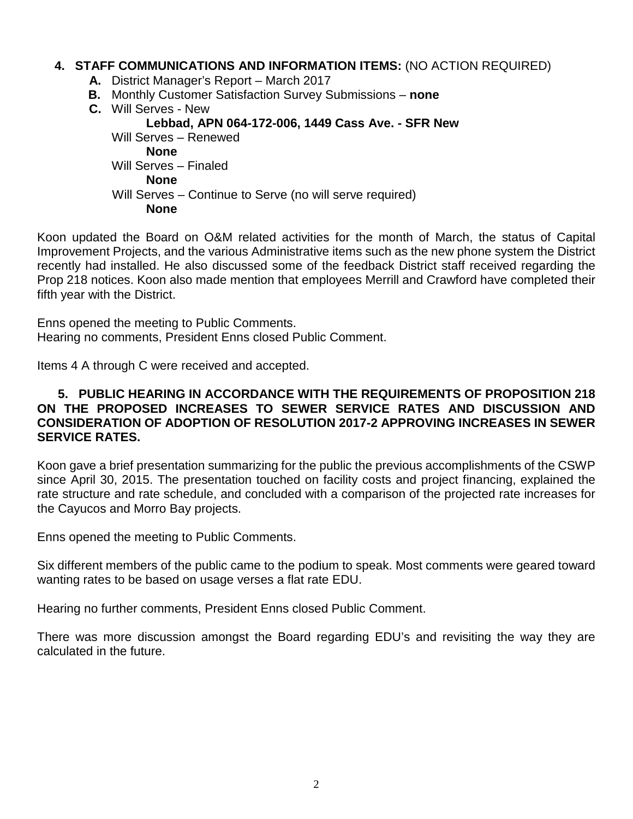#### **4. STAFF COMMUNICATIONS AND INFORMATION ITEMS:** (NO ACTION REQUIRED)

- **A.** District Manager's Report March 2017
- **B.** Monthly Customer Satisfaction Survey Submissions **none**
- **C.** Will Serves New  **Lebbad, APN 064-172-006, 1449 Cass Ave. - SFR New** Will Serves – Renewed **None** Will Serves – Finaled **None** Will Serves – Continue to Serve (no will serve required) **None**

Koon updated the Board on O&M related activities for the month of March, the status of Capital Improvement Projects, and the various Administrative items such as the new phone system the District recently had installed. He also discussed some of the feedback District staff received regarding the Prop 218 notices. Koon also made mention that employees Merrill and Crawford have completed their fifth year with the District.

Enns opened the meeting to Public Comments. Hearing no comments, President Enns closed Public Comment.

Items 4 A through C were received and accepted.

#### **5. PUBLIC HEARING IN ACCORDANCE WITH THE REQUIREMENTS OF PROPOSITION 218 ON THE PROPOSED INCREASES TO SEWER SERVICE RATES AND DISCUSSION AND CONSIDERATION OF ADOPTION OF RESOLUTION 2017-2 APPROVING INCREASES IN SEWER SERVICE RATES.**

Koon gave a brief presentation summarizing for the public the previous accomplishments of the CSWP since April 30, 2015. The presentation touched on facility costs and project financing, explained the rate structure and rate schedule, and concluded with a comparison of the projected rate increases for the Cayucos and Morro Bay projects.

Enns opened the meeting to Public Comments.

Six different members of the public came to the podium to speak. Most comments were geared toward wanting rates to be based on usage verses a flat rate EDU.

Hearing no further comments, President Enns closed Public Comment.

There was more discussion amongst the Board regarding EDU's and revisiting the way they are calculated in the future.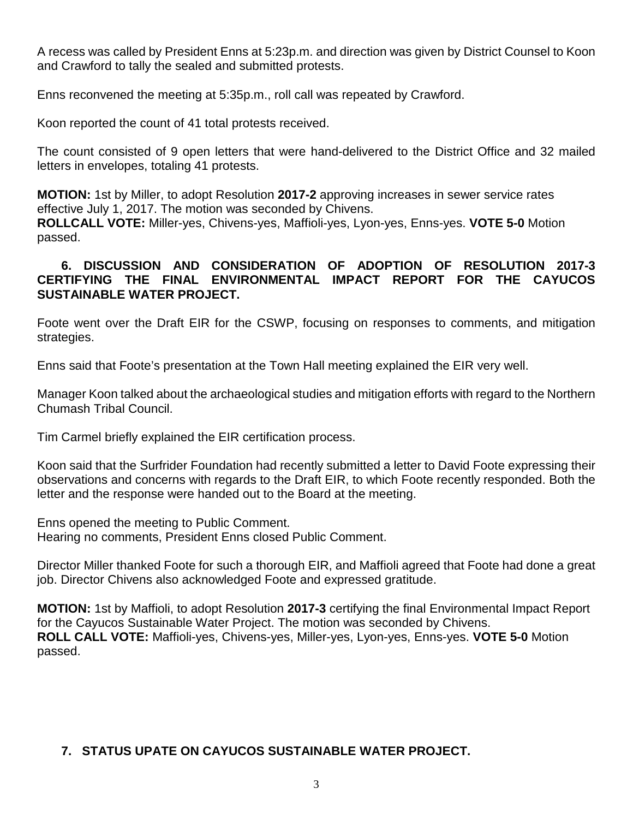A recess was called by President Enns at 5:23p.m. and direction was given by District Counsel to Koon and Crawford to tally the sealed and submitted protests.

Enns reconvened the meeting at 5:35p.m., roll call was repeated by Crawford.

Koon reported the count of 41 total protests received.

The count consisted of 9 open letters that were hand-delivered to the District Office and 32 mailed letters in envelopes, totaling 41 protests.

**MOTION:** 1st by Miller, to adopt Resolution **2017-2** approving increases in sewer service rates effective July 1, 2017. The motion was seconded by Chivens. **ROLLCALL VOTE:** Miller-yes, Chivens-yes, Maffioli-yes, Lyon-yes, Enns-yes. **VOTE 5-0** Motion passed.

#### **6. DISCUSSION AND CONSIDERATION OF ADOPTION OF RESOLUTION 2017-3 CERTIFYING THE FINAL ENVIRONMENTAL IMPACT REPORT FOR THE CAYUCOS SUSTAINABLE WATER PROJECT.**

Foote went over the Draft EIR for the CSWP, focusing on responses to comments, and mitigation strategies.

Enns said that Foote's presentation at the Town Hall meeting explained the EIR very well.

Manager Koon talked about the archaeological studies and mitigation efforts with regard to the Northern Chumash Tribal Council.

Tim Carmel briefly explained the EIR certification process.

Koon said that the Surfrider Foundation had recently submitted a letter to David Foote expressing their observations and concerns with regards to the Draft EIR, to which Foote recently responded. Both the letter and the response were handed out to the Board at the meeting.

Enns opened the meeting to Public Comment. Hearing no comments, President Enns closed Public Comment.

Director Miller thanked Foote for such a thorough EIR, and Maffioli agreed that Foote had done a great job. Director Chivens also acknowledged Foote and expressed gratitude.

**MOTION:** 1st by Maffioli, to adopt Resolution **2017-3** certifying the final Environmental Impact Report for the Cayucos Sustainable Water Project. The motion was seconded by Chivens. **ROLL CALL VOTE:** Maffioli-yes, Chivens-yes, Miller-yes, Lyon-yes, Enns-yes. **VOTE 5-0** Motion passed.

# **7. STATUS UPATE ON CAYUCOS SUSTAINABLE WATER PROJECT.**